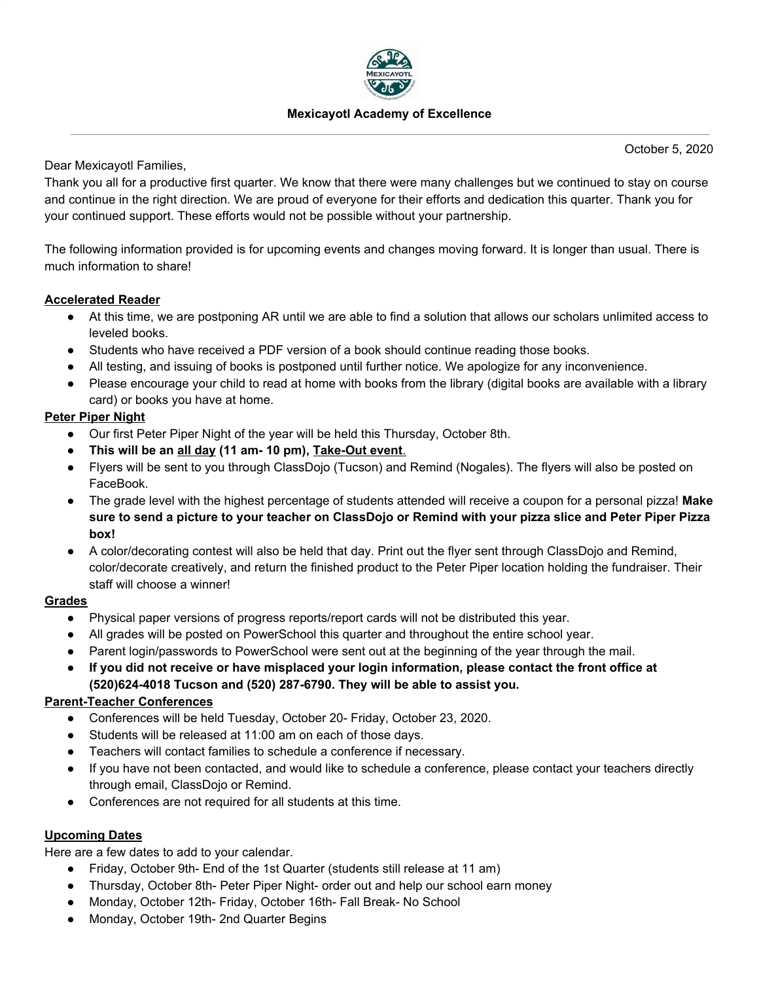

### **Mexicayotl Academy of Excellence**

October 5, 2020

Dear Mexicayotl Families,

Thank you all for a productive first quarter. We know that there were many challenges but we continued to stay on course and continue in the right direction. We are proud of everyone for their efforts and dedication this quarter. Thank you for your continued support. These efforts would not be possible without your partnership.

The following information provided is for upcoming events and changes moving forward. It is longer than usual. There is much information to share!

## **Accelerated Reader**

- Ɣ At this time, we are postponing AR until we are able to find a solution that allows our scholars unlimited access to leveled books.
- Students who have received a PDF version of a book should continue reading those books.
- All testing, and issuing of books is postponed until further notice. We apologize for any inconvenience.
- Please encourage your child to read at home with books from the library (digital books are available with a library card) or books you have at home.

## **Peter Piper Night**

- Our first Peter Piper Night of the year will be held this Thursday, October 8th.
- **•** This will be an all day (11 am- 10 pm), Take-Out event.
- Flyers will be sent to you through ClassDojo (Tucson) and Remind (Nogales). The flyers will also be posted on FaceBook.
- The grade level with the highest percentage of students attended will receive a coupon for a personal pizza! Make sure to send a picture to your teacher on ClassDojo or Remind with your pizza slice and Peter Piper Pizza box!
- A color/decorating contest will also be held that day. Print out the flyer sent through ClassDojo and Remind, color/decorate creatively, and return the finished product to the Peter Piper location holding the fundraiser. Their staff will choose a winner!

## **Grades**

- Physical paper versions of progress reports/report cards will not be distributed this year.
- All grades will be posted on PowerSchool this quarter and throughout the entire school year.
- Parent login/passwords to PowerSchool were sent out at the beginning of the year through the mail.
- If you did not receive or have misplaced your login information, please contact the front office at  $(520)624-4018$  Tucson and (520) 287-6790. They will be able to assist you.

## **Parent-Teacher Conferences**

- Conferences will be held Tuesday, October 20- Friday, October 23, 2020.
- Students will be released at 11:00 am on each of those days.
- Teachers will contact families to schedule a conference if necessary.
- If you have not been contacted, and would like to schedule a conference, please contact your teachers directly through email, ClassDojo or Remind.
- Conferences are not required for all students at this time.

## **Upcoming Dates**

Here are a few dates to add to your calendar.

- Friday, October 9th- End of the 1st Quarter (students still release at 11 am)
- Thursday, October 8th- Peter Piper Night- order out and help our school earn money
- Monday, October 12th- Friday, October 16th- Fall Break- No School
- Monday, October 19th- 2nd Quarter Begins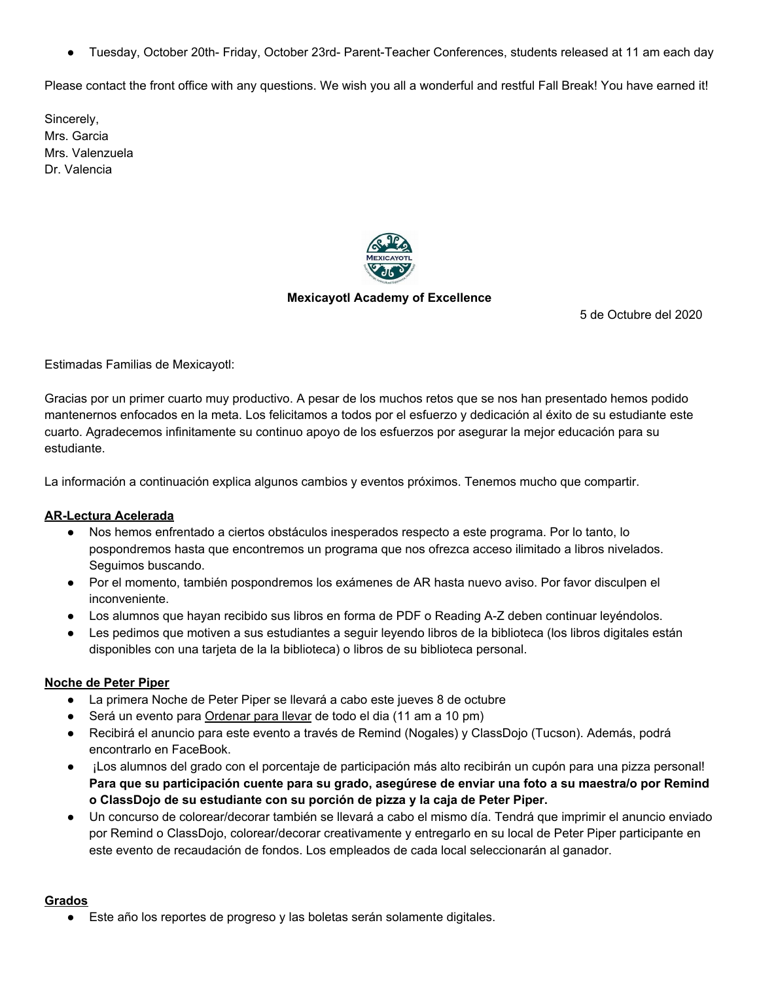Tuesday, October 20th- Friday, October 23rd- Parent-Teacher Conferences, students released at 11 am each day

Please contact the front office with any questions. We wish you all a wonderful and restful Fall Break! You have earned it!

Sincerely, Mrs. Garcia Mrs. Valenzuela Dr. Valencia



### **Mexicayotl Academy of Excellence**

5 de Octubre del 2020

Estimadas Familias de Mexicayotl:

Gracias por un primer cuarto mu\ productivo. A pesar de los muchos retos que se nos han presentado hemos podido mantenernos enfocados en la meta. Los felicitamos a todos por el esfuerzo y dedicación al éxito de su estudiante este cuarto. Agradecemos infinitamente su continuo apoyo de los esfuerzos por asegurar la mejor educación para su estudiante.

La información a continuación explica algunos cambios y eventos próximos. Tenemos mucho que compartir.

## **AR-Lectura Acelerada**

- Nos hemos enfrentado a ciertos obstáculos inesperados respecto a este programa. Por lo tanto, lo pospondremos hasta que encontremos un programa que nos ofrezca acceso ilimitado a libros nivelados. Seguimos buscando.
- Por el momento, también pospondremos los exámenes de AR hasta nuevo aviso. Por favor disculpen el inconveniente.
- Los alumnos que hayan recibido sus libros en forma de PDF o Reading A-Z deben continuar leyéndolos.
- Les pedimos que motiven a sus estudiantes a seguir leyendo libros de la biblioteca (los libros digitales están disponibles con una tarjeta de la la biblioteca) o libros de su biblioteca personal.

#### **Noche de Peter Piper**

- La primera Noche de Peter Piper se llevará a cabo este jueves 8 de octubre
- Será un evento para Ordenar para llevar de todo el dia (11 am a 10 pm)
- Recibirá el anuncio para este evento a través de Remind (Nogales) y ClassDojo (Tucson). Además, podrá encontrarlo en FaceBook.
- ¡Los alumnos del grado con el porcentaje de participación más alto recibirán un cupón para una pizza personal! Para que su participación cuente para su grado, asegúrese de enviar una foto a su maestra/o por Remind  $\alpha$  ClassDojo de su estudiante con su porción de pizza y la caja de Peter Piper.
- · Un concurso de colorear/decorar también se llevará a cabo el mismo día. Tendrá que imprimir el anuncio enviado por Remind o ClassDojo, colorear/decorar creativamente y entregarlo en su local de Peter Piper participante en este evento de recaudación de fondos. Los empleados de cada local seleccionarán al ganador.

#### **Grados**

• Este año los reportes de progreso y las boletas serán solamente digitales.